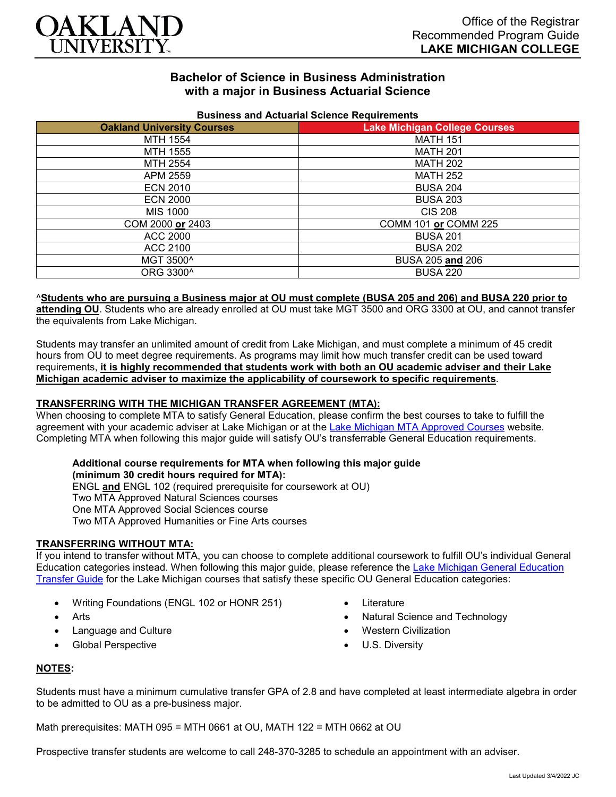

# **Bachelor of Science in Business Administration with a major in Business Actuarial Science**

| <b>Publical and Actualial Ocionce Requirements</b> |                                      |
|----------------------------------------------------|--------------------------------------|
| <b>Oakland University Courses</b>                  | <b>Lake Michigan College Courses</b> |
| MTH 1554                                           | <b>MATH 151</b>                      |
| MTH 1555                                           | <b>MATH 201</b>                      |
| MTH 2554                                           | <b>MATH 202</b>                      |
| APM 2559                                           | <b>MATH 252</b>                      |
| <b>ECN 2010</b>                                    | <b>BUSA 204</b>                      |
| <b>ECN 2000</b>                                    | <b>BUSA 203</b>                      |
| MIS 1000                                           | <b>CIS 208</b>                       |
| COM 2000 or 2403                                   | COMM 101 or COMM 225                 |
| <b>ACC 2000</b>                                    | <b>BUSA 201</b>                      |
| ACC 2100                                           | <b>BUSA 202</b>                      |
| MGT 3500^                                          | BUSA 205 and 206                     |
| ORG 3300^                                          | <b>BUSA 220</b>                      |
|                                                    |                                      |

#### **Business and Actuarial Science Requirements**

#### ^**Students who are pursuing a Business major at OU must complete (BUSA 205 and 206) and BUSA 220 prior to**

**attending OU**. Students who are already enrolled at OU must take MGT 3500 and ORG 3300 at OU, and cannot transfer the equivalents from Lake Michigan.

Students may transfer an unlimited amount of credit from Lake Michigan, and must complete a minimum of 45 credit hours from OU to meet degree requirements. As programs may limit how much transfer credit can be used toward requirements, **it is highly recommended that students work with both an OU academic adviser and their Lake Michigan academic adviser to maximize the applicability of coursework to specific requirements**.

### **TRANSFERRING WITH THE MICHIGAN TRANSFER AGREEMENT (MTA):**

When choosing to complete MTA to satisfy General Education, please confirm the best courses to take to fulfill the agreement with your academic adviser at Lake Michigan or at the [Lake Michigan MTA Approved Courses](https://www.lakemichigancollege.edu/academics/educational-goals/transfer/transfer-information) website. Completing MTA when following this major guide will satisfy OU's transferrable General Education requirements.

### **Additional course requirements for MTA when following this major guide (minimum 30 credit hours required for MTA):**

ENGL **and** ENGL 102 (required prerequisite for coursework at OU) Two MTA Approved Natural Sciences courses One MTA Approved Social Sciences course Two MTA Approved Humanities or Fine Arts courses

### **TRANSFERRING WITHOUT MTA:**

If you intend to transfer without MTA, you can choose to complete additional coursework to fulfill OU's individual General Education categories instead. When following this major guide, please reference the [Lake Michigan General Education](https://www.oakland.edu/Assets/Oakland/program-guides/lake-michigan-college/university-general-education-requirements/Lake%20Michigan%20Gen%20Ed.pdf)  [Transfer Guide](https://www.oakland.edu/Assets/Oakland/program-guides/lake-michigan-college/university-general-education-requirements/Lake%20Michigan%20Gen%20Ed.pdf) for the Lake Michigan courses that satisfy these specific OU General Education categories:

- Writing Foundations (ENGL 102 or HONR 251)
- Arts
- Language and Culture
- Global Perspective
- Literature
- Natural Science and Technology
- Western Civilization
- U.S. Diversity

### **NOTES:**

Students must have a minimum cumulative transfer GPA of 2.8 and have completed at least intermediate algebra in order to be admitted to OU as a pre-business major.

Math prerequisites: MATH 095 = MTH 0661 at OU, MATH 122 = MTH 0662 at OU

Prospective transfer students are welcome to call 248-370-3285 to schedule an appointment with an adviser.